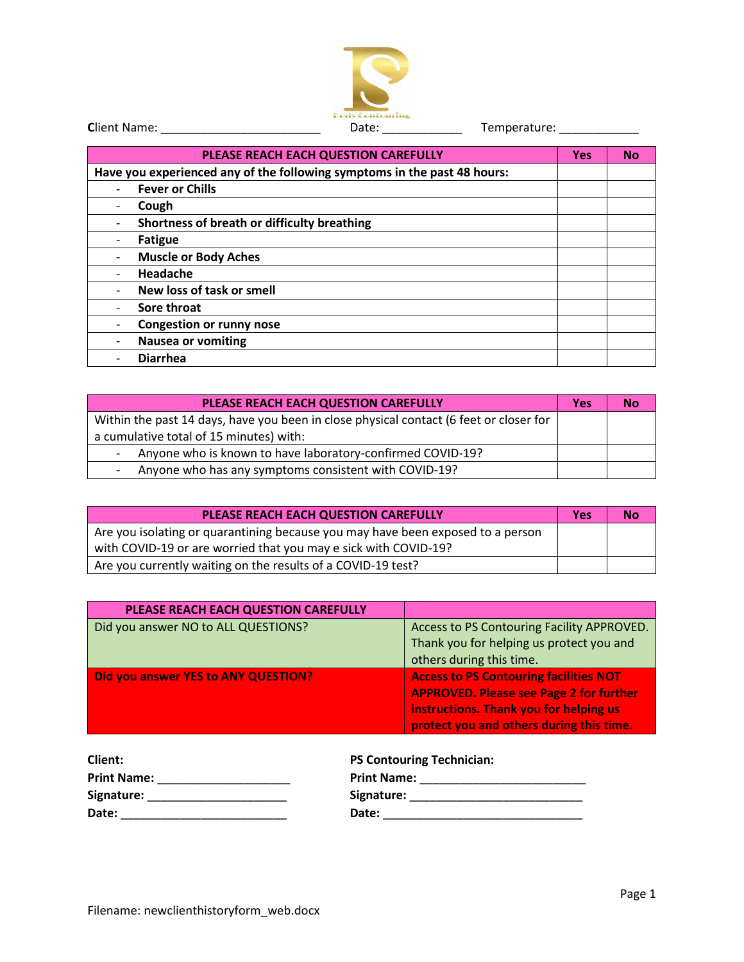

| PLEASE REACH EACH QUESTION CAREFULLY                                     | <b>Yes</b> | <b>No</b> |
|--------------------------------------------------------------------------|------------|-----------|
| Have you experienced any of the following symptoms in the past 48 hours: |            |           |
| <b>Fever or Chills</b>                                                   |            |           |
| Cough                                                                    |            |           |
| Shortness of breath or difficulty breathing                              |            |           |
| <b>Fatigue</b>                                                           |            |           |
| <b>Muscle or Body Aches</b>                                              |            |           |
| Headache                                                                 |            |           |
| New loss of task or smell                                                |            |           |
| Sore throat                                                              |            |           |
| <b>Congestion or runny nose</b>                                          |            |           |
| <b>Nausea or vomiting</b>                                                |            |           |
| <b>Diarrhea</b>                                                          |            |           |

| PLEASE REACH EACH QUESTION CAREFULLY                                                   | <b>Yes</b> | Nο |
|----------------------------------------------------------------------------------------|------------|----|
| Within the past 14 days, have you been in close physical contact (6 feet or closer for |            |    |
| a cumulative total of 15 minutes) with:                                                |            |    |
| Anyone who is known to have laboratory-confirmed COVID-19?                             |            |    |
| Anyone who has any symptoms consistent with COVID-19?<br>-                             |            |    |

| PLEASE REACH EACH QUESTION CAREFULLY                                            | <b>Yes</b> | No |
|---------------------------------------------------------------------------------|------------|----|
| Are you isolating or quarantining because you may have been exposed to a person |            |    |
| with COVID-19 or are worried that you may e sick with COVID-19?                 |            |    |
| Are you currently waiting on the results of a COVID-19 test?                    |            |    |

| PLEASE REACH EACH QUESTION CAREFULLY |                                                                                                                                                                                       |
|--------------------------------------|---------------------------------------------------------------------------------------------------------------------------------------------------------------------------------------|
| Did you answer NO to ALL QUESTIONS?  | Access to PS Contouring Facility APPROVED.<br>Thank you for helping us protect you and<br>others during this time.                                                                    |
| Did you answer YES to ANY QUESTION?  | <b>Access to PS Contouring facilities NOT</b><br><b>APPROVED. Please see Page 2 for further</b><br>instructions. Thank you for helping us<br>protect you and others during this time. |

| Client:            | <b>PS Contouring Technician:</b> |
|--------------------|----------------------------------|
| <b>Print Name:</b> | <b>Print Name:</b>               |
| Signature:         | Signature:                       |
| Date:              | Date:                            |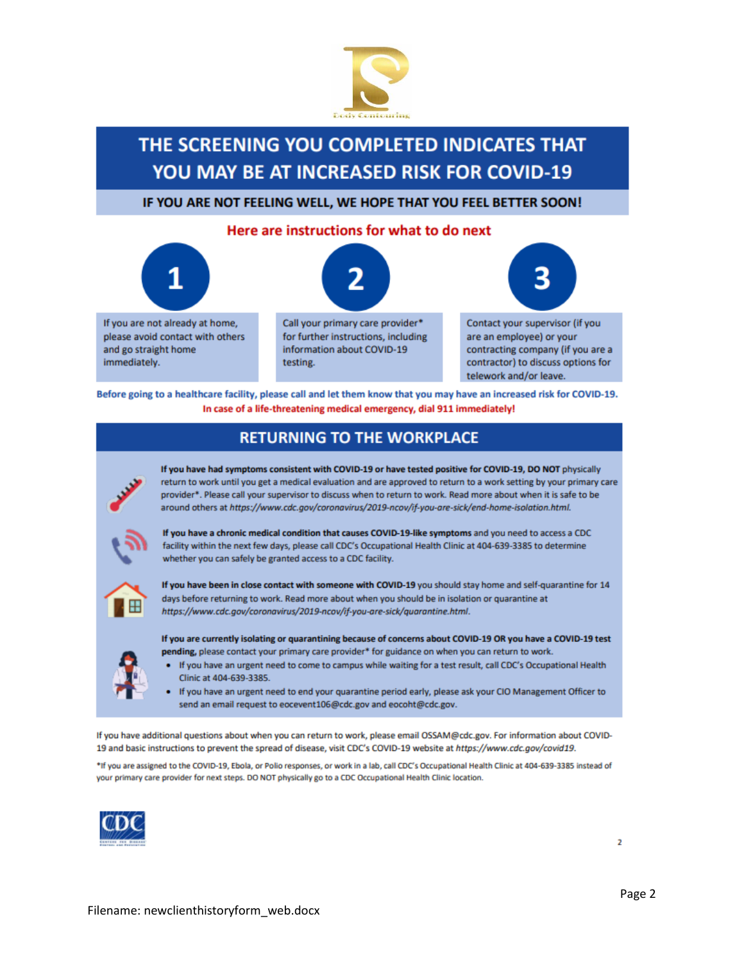

## THE SCREENING YOU COMPLETED INDICATES THAT **YOU MAY BE AT INCREASED RISK FOR COVID-19**

IF YOU ARE NOT FEELING WELL, WE HOPE THAT YOU FEEL BETTER SOON!

#### Here are instructions for what to do next



Before going to a healthcare facility, please call and let them know that you may have an increased risk for COVID-19. In case of a life-threatening medical emergency, dial 911 immediately!

## **RETURNING TO THE WORKPLACE**



If you have had symptoms consistent with COVID-19 or have tested positive for COVID-19, DO NOT physically return to work until you get a medical evaluation and are approved to return to a work setting by your primary care provider\*. Please call your supervisor to discuss when to return to work. Read more about when it is safe to be around others at https://www.cdc.gov/coronavirus/2019-ncov/if-you-are-sick/end-home-isolation.html.



If you have a chronic medical condition that causes COVID-19-like symptoms and you need to access a CDC facility within the next few days, please call CDC's Occupational Health Clinic at 404-639-3385 to determine whether you can safely be granted access to a CDC facility.



If you have been in close contact with someone with COVID-19 you should stay home and self-quarantine for 14 days before returning to work. Read more about when you should be in isolation or quarantine at https://www.cdc.gov/coronavirus/2019-ncov/if-you-are-sick/quarantine.html.

If you are currently isolating or quarantining because of concerns about COVID-19 OR you have a COVID-19 test pending, please contact your primary care provider\* for guidance on when you can return to work.

- If you have an urgent need to come to campus while waiting for a test result, call CDC's Occupational Health Clinic at 404-639-3385.
- If you have an urgent need to end your quarantine period early, please ask your CIO Management Officer to send an email request to eocevent106@cdc.gov and eocoht@cdc.gov.

If you have additional questions about when you can return to work, please email OSSAM@cdc.gov. For information about COVID-19 and basic instructions to prevent the spread of disease, visit CDC's COVID-19 website at https://www.cdc.gov/covid19.

\*If you are assigned to the COVID-19, Ebola, or Polio responses, or work in a lab, call CDC's Occupational Health Clinic at 404-639-3385 instead of your primary care provider for next steps. DO NOT physically go to a CDC Occupational Health Clinic location.

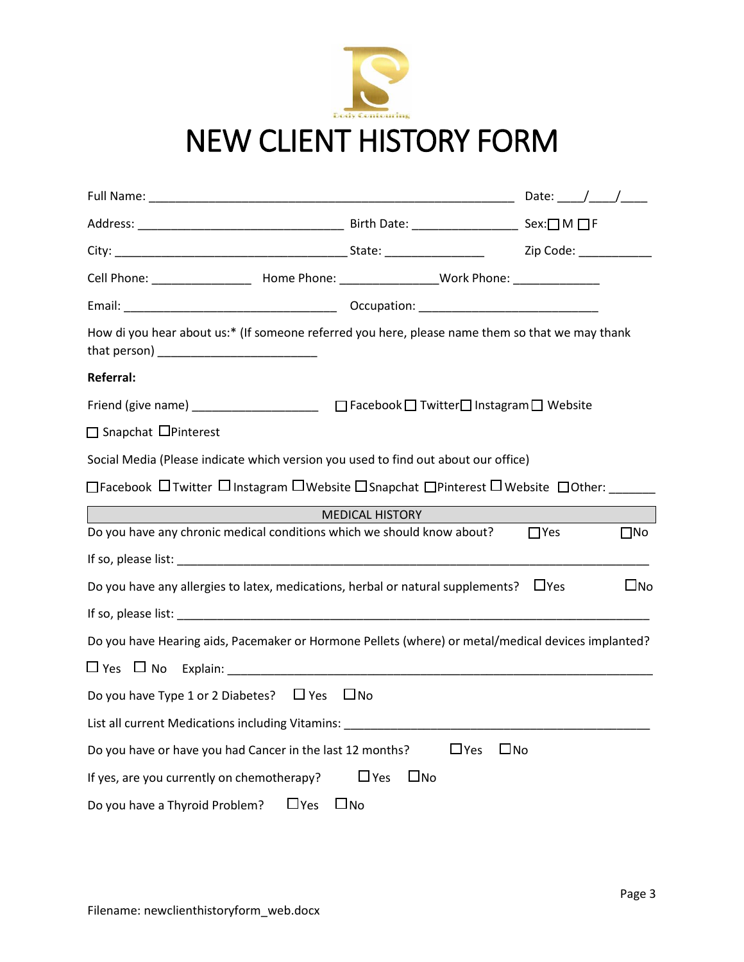

| Cell Phone: __________________________ Home Phone: _____________________Work Phone: _______________                                                                                                                            |                            |                            |
|--------------------------------------------------------------------------------------------------------------------------------------------------------------------------------------------------------------------------------|----------------------------|----------------------------|
| Email: Comparison: Comparison: Comparison: Comparison: Comparison: Comparison: Comparison: Comparison: Comparison: Comparison: Comparison: Comparison: Comparison: Comparison: Comparison: Comparison: Comparison: Comparison: |                            |                            |
| How di you hear about us:* (If someone referred you here, please name them so that we may thank                                                                                                                                |                            |                            |
| <b>Referral:</b>                                                                                                                                                                                                               |                            |                            |
| Friend (give name) _______________________ □ Facebook □ Twitter□ Instagram □ Website                                                                                                                                           |                            |                            |
| □ Snapchat □ Pinterest                                                                                                                                                                                                         |                            |                            |
| Social Media (Please indicate which version you used to find out about our office)                                                                                                                                             |                            |                            |
| □Facebook □Twitter □Instagram □Website □Snapchat □Pinterest □Website □Other:                                                                                                                                                   |                            |                            |
|                                                                                                                                                                                                                                | <b>MEDICAL HISTORY</b>     |                            |
| Do you have any chronic medical conditions which we should know about?                                                                                                                                                         |                            | $\square$ No<br>$\Box$ Yes |
|                                                                                                                                                                                                                                |                            |                            |
| Do you have any allergies to latex, medications, herbal or natural supplements? $\Box$ Yes                                                                                                                                     |                            | $\square$ No               |
|                                                                                                                                                                                                                                |                            |                            |
| Do you have Hearing aids, Pacemaker or Hormone Pellets (where) or metal/medical devices implanted?                                                                                                                             |                            |                            |
| $\square$ Yes $\square$ No Explain:                                                                                                                                                                                            |                            |                            |
| Do you have Type 1 or 2 Diabetes? $\Box$ Yes $\Box$ No                                                                                                                                                                         |                            |                            |
| List all current Medications including Vitamins: ________________________________                                                                                                                                              |                            |                            |
| Do you have or have you had Cancer in the last 12 months?                                                                                                                                                                      | $\Box$ Yes<br>$\Box$ No    |                            |
| If yes, are you currently on chemotherapy?                                                                                                                                                                                     | $\Box$ Yes<br>$\square$ No |                            |
| Do you have a Thyroid Problem? $\Box$ Yes                                                                                                                                                                                      | $\square$ No               |                            |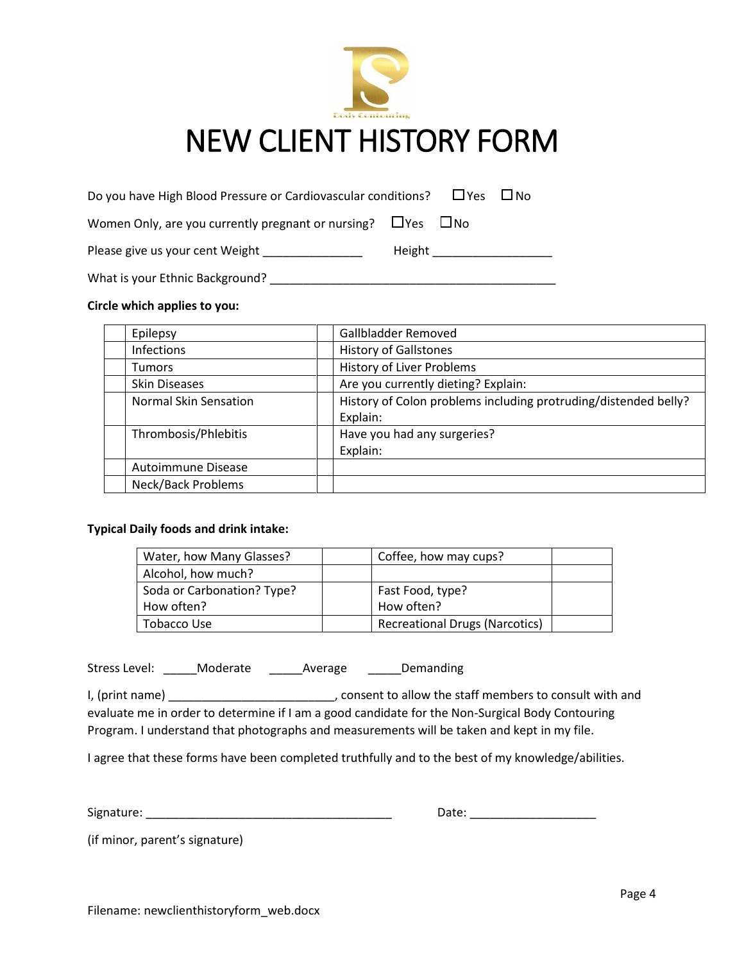

## NEW CLIENT HISTORY FORM

| Do you have High Blood Pressure or Cardiovascular conditions?           |        |  | ∐Yes ∐No |  |
|-------------------------------------------------------------------------|--------|--|----------|--|
| Women Only, are you currently pregnant or nursing? $\Box$ Yes $\Box$ No |        |  |          |  |
| Please give us your cent Weight                                         | Height |  |          |  |

What is your Ethnic Background? \_\_\_\_\_\_\_\_\_\_\_\_\_\_\_\_\_\_\_\_\_\_\_\_\_\_\_\_\_\_\_\_\_\_\_\_\_\_\_\_\_\_\_

#### **Circle which applies to you:**

| Epilepsy              | Gallbladder Removed                                             |
|-----------------------|-----------------------------------------------------------------|
| Infections            | <b>History of Gallstones</b>                                    |
| <b>Tumors</b>         | <b>History of Liver Problems</b>                                |
| <b>Skin Diseases</b>  | Are you currently dieting? Explain:                             |
| Normal Skin Sensation | History of Colon problems including protruding/distended belly? |
|                       | Explain:                                                        |
| Thrombosis/Phlebitis  | Have you had any surgeries?                                     |
|                       | Explain:                                                        |
| Autoimmune Disease    |                                                                 |
| Neck/Back Problems    |                                                                 |

#### **Typical Daily foods and drink intake:**

| Water, how Many Glasses?   | Coffee, how may cups?                 |  |
|----------------------------|---------------------------------------|--|
| Alcohol, how much?         |                                       |  |
| Soda or Carbonation? Type? | Fast Food, type?                      |  |
| How often?                 | How often?                            |  |
| Tobacco Use                | <b>Recreational Drugs (Narcotics)</b> |  |

Stress Level: \_\_\_\_\_\_Moderate \_\_\_\_\_\_\_\_\_\_\_\_\_\_\_\_\_\_\_\_\_\_\_\_\_\_\_\_\_\_\_\_\_\_\_Demanding

I, (print name) **I**, (print name) **EXECUTE:** CONSERVING MEDIA CONSULTER MEMORIAL And evaluate me in order to determine if I am a good candidate for the Non-Surgical Body Contouring Program. I understand that photographs and measurements will be taken and kept in my file.

I agree that these forms have been completed truthfully and to the best of my knowledge/abilities.

Signature: \_\_\_\_\_\_\_\_\_\_\_\_\_\_\_\_\_\_\_\_\_\_\_\_\_\_\_\_\_\_\_\_\_\_\_\_\_ Date: \_\_\_\_\_\_\_\_\_\_\_\_\_\_\_\_\_\_\_

(if minor, parent's signature)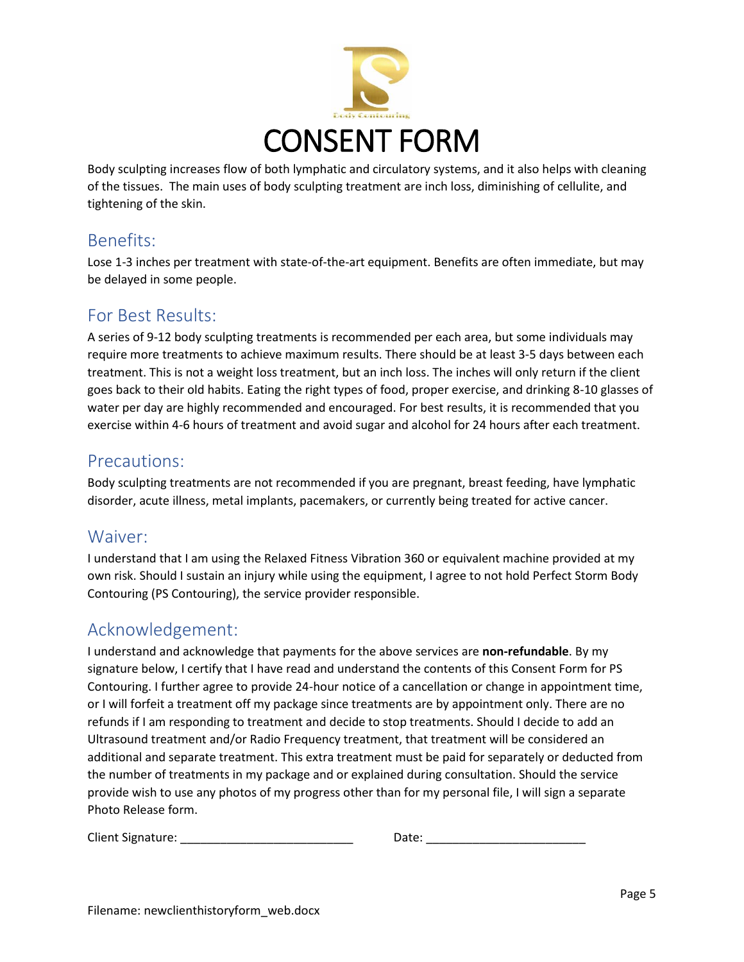

Body sculpting increases flow of both lymphatic and circulatory systems, and it also helps with cleaning of the tissues. The main uses of body sculpting treatment are inch loss, diminishing of cellulite, and tightening of the skin.

## Benefits:

Lose 1-3 inches per treatment with state-of-the-art equipment. Benefits are often immediate, but may be delayed in some people.

## For Best Results:

A series of 9-12 body sculpting treatments is recommended per each area, but some individuals may require more treatments to achieve maximum results. There should be at least 3-5 days between each treatment. This is not a weight loss treatment, but an inch loss. The inches will only return if the client goes back to their old habits. Eating the right types of food, proper exercise, and drinking 8-10 glasses of water per day are highly recommended and encouraged. For best results, it is recommended that you exercise within 4-6 hours of treatment and avoid sugar and alcohol for 24 hours after each treatment.

### Precautions:

Body sculpting treatments are not recommended if you are pregnant, breast feeding, have lymphatic disorder, acute illness, metal implants, pacemakers, or currently being treated for active cancer.

## Waiver:

I understand that I am using the Relaxed Fitness Vibration 360 or equivalent machine provided at my own risk. Should I sustain an injury while using the equipment, I agree to not hold Perfect Storm Body Contouring (PS Contouring), the service provider responsible.

## Acknowledgement:

I understand and acknowledge that payments for the above services are **non-refundable**. By my signature below, I certify that I have read and understand the contents of this Consent Form for PS Contouring. I further agree to provide 24-hour notice of a cancellation or change in appointment time, or I will forfeit a treatment off my package since treatments are by appointment only. There are no refunds if I am responding to treatment and decide to stop treatments. Should I decide to add an Ultrasound treatment and/or Radio Frequency treatment, that treatment will be considered an additional and separate treatment. This extra treatment must be paid for separately or deducted from the number of treatments in my package and or explained during consultation. Should the service provide wish to use any photos of my progress other than for my personal file, I will sign a separate Photo Release form.

| Client Signature: |  | Date |  |
|-------------------|--|------|--|
|-------------------|--|------|--|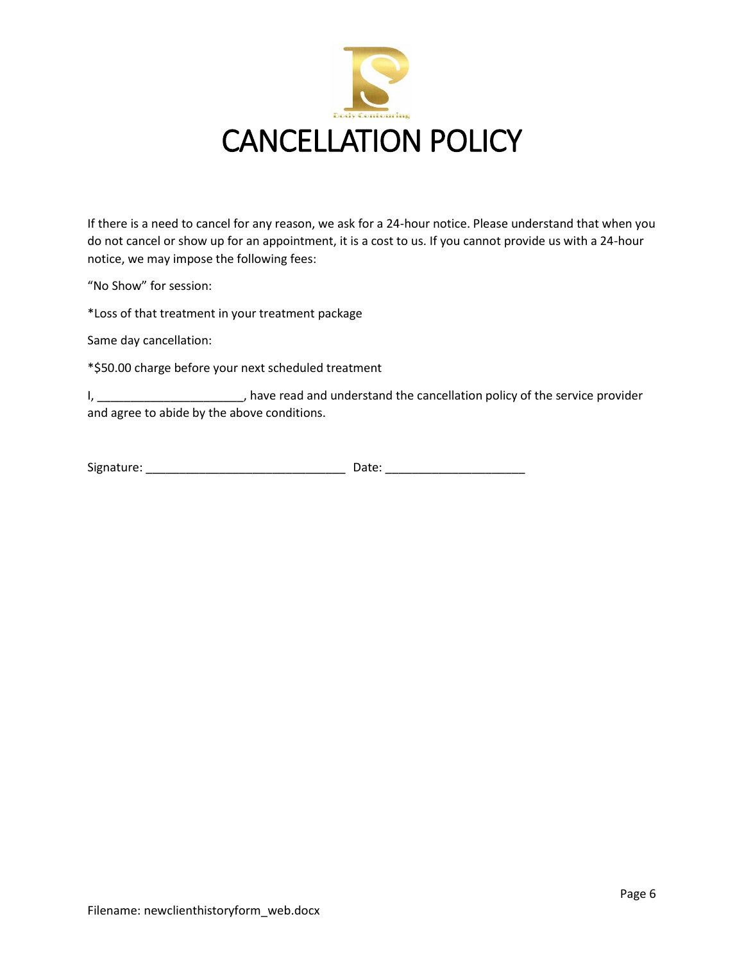

If there is a need to cancel for any reason, we ask for a 24-hour notice. Please understand that when you do not cancel or show up for an appointment, it is a cost to us. If you cannot provide us with a 24-hour notice, we may impose the following fees:

"No Show" for session:

\*Loss of that treatment in your treatment package

Same day cancellation:

\*\$50.00 charge before your next scheduled treatment

I, \_\_\_\_\_\_\_\_\_\_\_\_\_\_\_\_\_\_\_\_\_\_\_\_, have read and understand the cancellation policy of the service provider and agree to abide by the above conditions.

| Signature: | Date: |  |
|------------|-------|--|
|            |       |  |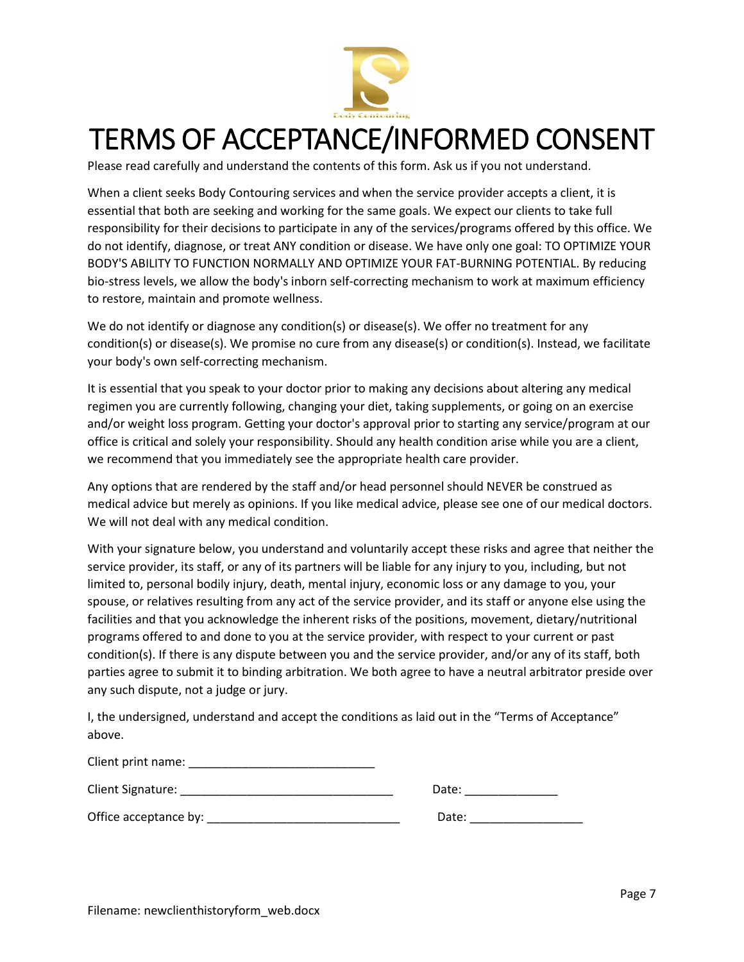

## TERMS OF ACCEPTANCE/INFORMED CONSENT

Please read carefully and understand the contents of this form. Ask us if you not understand.

When a client seeks Body Contouring services and when the service provider accepts a client, it is essential that both are seeking and working for the same goals. We expect our clients to take full responsibility for their decisions to participate in any of the services/programs offered by this office. We do not identify, diagnose, or treat ANY condition or disease. We have only one goal: TO OPTIMIZE YOUR BODY'S ABILITY TO FUNCTION NORMALLY AND OPTIMIZE YOUR FAT-BURNING POTENTIAL. By reducing bio-stress levels, we allow the body's inborn self-correcting mechanism to work at maximum efficiency to restore, maintain and promote wellness.

We do not identify or diagnose any condition(s) or disease(s). We offer no treatment for any condition(s) or disease(s). We promise no cure from any disease(s) or condition(s). Instead, we facilitate your body's own self-correcting mechanism.

It is essential that you speak to your doctor prior to making any decisions about altering any medical regimen you are currently following, changing your diet, taking supplements, or going on an exercise and/or weight loss program. Getting your doctor's approval prior to starting any service/program at our office is critical and solely your responsibility. Should any health condition arise while you are a client, we recommend that you immediately see the appropriate health care provider.

Any options that are rendered by the staff and/or head personnel should NEVER be construed as medical advice but merely as opinions. If you like medical advice, please see one of our medical doctors. We will not deal with any medical condition.

With your signature below, you understand and voluntarily accept these risks and agree that neither the service provider, its staff, or any of its partners will be liable for any injury to you, including, but not limited to, personal bodily injury, death, mental injury, economic loss or any damage to you, your spouse, or relatives resulting from any act of the service provider, and its staff or anyone else using the facilities and that you acknowledge the inherent risks of the positions, movement, dietary/nutritional programs offered to and done to you at the service provider, with respect to your current or past condition(s). If there is any dispute between you and the service provider, and/or any of its staff, both parties agree to submit it to binding arbitration. We both agree to have a neutral arbitrator preside over any such dispute, not a judge or jury.

I, the undersigned, understand and accept the conditions as laid out in the "Terms of Acceptance" above.

| CITCHT DITITUTIONS.   |       |
|-----------------------|-------|
| Client Signature:     | Date: |
| Office acceptance by: | Date: |

 $C$ lient print name: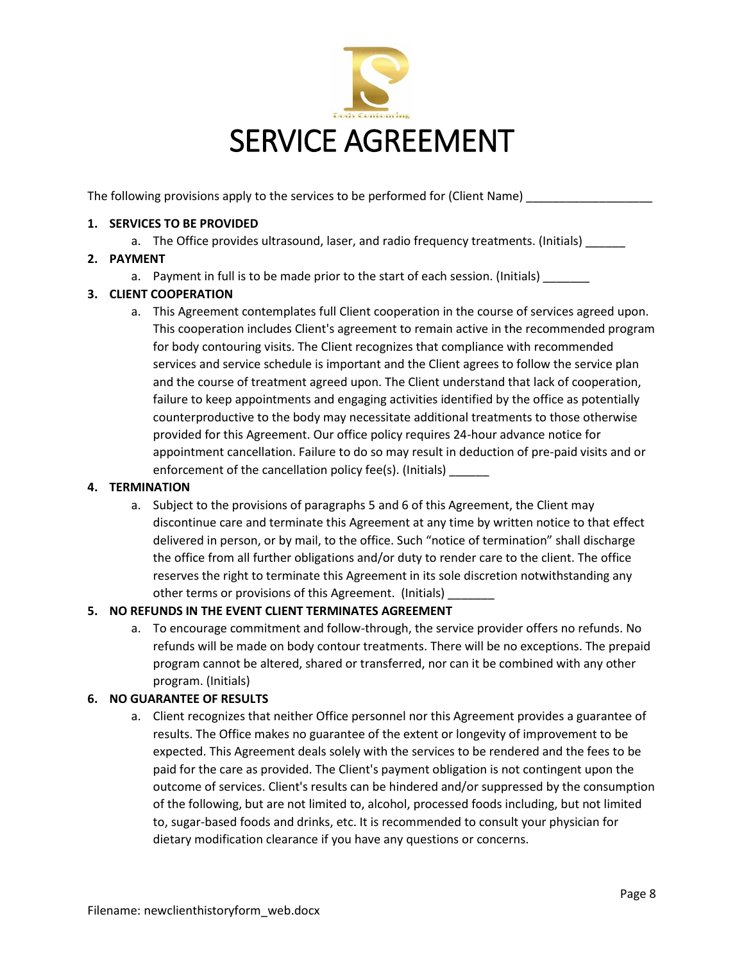

The following provisions apply to the services to be performed for (Client Name)

#### **1. SERVICES TO BE PROVIDED**

a. The Office provides ultrasound, laser, and radio frequency treatments. (Initials)

#### **2. PAYMENT**

a. Payment in full is to be made prior to the start of each session. (Initials)

#### **3. CLIENT COOPERATION**

a. This Agreement contemplates full Client cooperation in the course of services agreed upon. This cooperation includes Client's agreement to remain active in the recommended program for body contouring visits. The Client recognizes that compliance with recommended services and service schedule is important and the Client agrees to follow the service plan and the course of treatment agreed upon. The Client understand that lack of cooperation, failure to keep appointments and engaging activities identified by the office as potentially counterproductive to the body may necessitate additional treatments to those otherwise provided for this Agreement. Our office policy requires 24-hour advance notice for appointment cancellation. Failure to do so may result in deduction of pre-paid visits and or enforcement of the cancellation policy fee(s). (Initials) \_\_\_\_

#### **4. TERMINATION**

a. Subject to the provisions of paragraphs 5 and 6 of this Agreement, the Client may discontinue care and terminate this Agreement at any time by written notice to that effect delivered in person, or by mail, to the office. Such "notice of termination" shall discharge the office from all further obligations and/or duty to render care to the client. The office reserves the right to terminate this Agreement in its sole discretion notwithstanding any other terms or provisions of this Agreement. (Initials)

### **5. NO REFUNDS IN THE EVENT CLIENT TERMINATES AGREEMENT**

a. To encourage commitment and follow-through, the service provider offers no refunds. No refunds will be made on body contour treatments. There will be no exceptions. The prepaid program cannot be altered, shared or transferred, nor can it be combined with any other program. (Initials)

#### **6. NO GUARANTEE OF RESULTS**

a. Client recognizes that neither Office personnel nor this Agreement provides a guarantee of results. The Office makes no guarantee of the extent or longevity of improvement to be expected. This Agreement deals solely with the services to be rendered and the fees to be paid for the care as provided. The Client's payment obligation is not contingent upon the outcome of services. Client's results can be hindered and/or suppressed by the consumption of the following, but are not limited to, alcohol, processed foods including, but not limited to, sugar-based foods and drinks, etc. It is recommended to consult your physician for dietary modification clearance if you have any questions or concerns.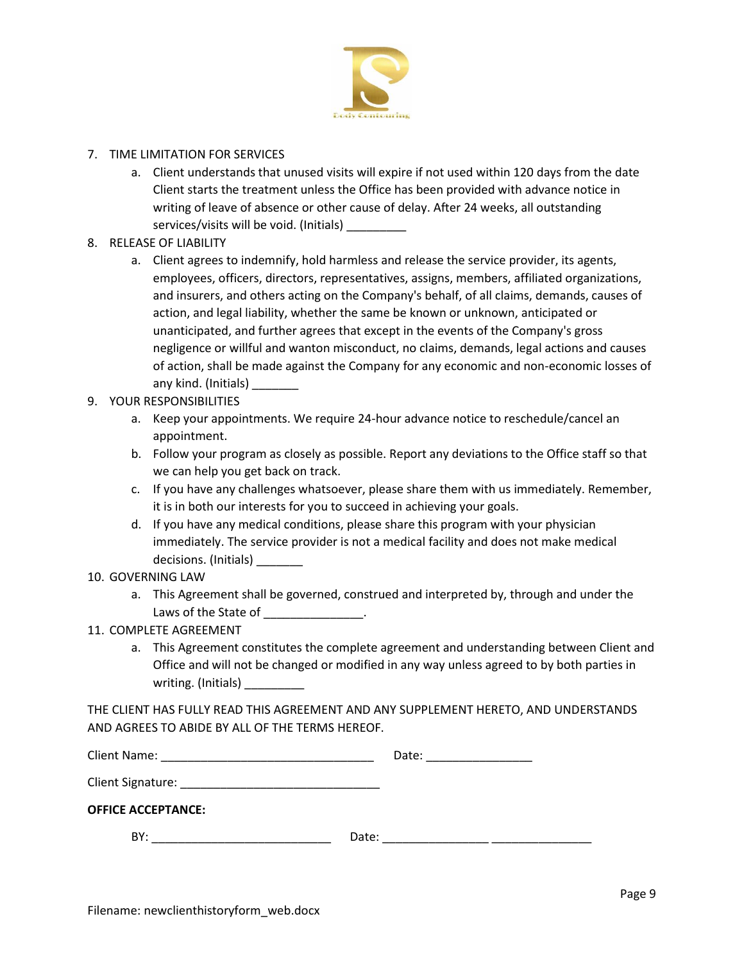

- 7. TIME LIMITATION FOR SERVICES
	- a. Client understands that unused visits will expire if not used within 120 days from the date Client starts the treatment unless the Office has been provided with advance notice in writing of leave of absence or other cause of delay. After 24 weeks, all outstanding services/visits will be void. (Initials) \_\_\_\_\_\_\_\_
- 8. RELEASE OF LIABILITY
	- a. Client agrees to indemnify, hold harmless and release the service provider, its agents, employees, officers, directors, representatives, assigns, members, affiliated organizations, and insurers, and others acting on the Company's behalf, of all claims, demands, causes of action, and legal liability, whether the same be known or unknown, anticipated or unanticipated, and further agrees that except in the events of the Company's gross negligence or willful and wanton misconduct, no claims, demands, legal actions and causes of action, shall be made against the Company for any economic and non-economic losses of any kind. (Initials)
- 9. YOUR RESPONSIBILITIES
	- a. Keep your appointments. We require 24-hour advance notice to reschedule/cancel an appointment.
	- b. Follow your program as closely as possible. Report any deviations to the Office staff so that we can help you get back on track.
	- c. If you have any challenges whatsoever, please share them with us immediately. Remember, it is in both our interests for you to succeed in achieving your goals.
	- d. If you have any medical conditions, please share this program with your physician immediately. The service provider is not a medical facility and does not make medical decisions. (Initials)
- 10. GOVERNING LAW
	- a. This Agreement shall be governed, construed and interpreted by, through and under the Laws of the State of \_\_\_\_\_\_\_\_\_\_\_\_\_\_\_\_.
- 11. COMPLETE AGREEMENT
	- a. This Agreement constitutes the complete agreement and understanding between Client and Office and will not be changed or modified in any way unless agreed to by both parties in writing. (Initials) \_\_\_\_\_\_\_\_\_

THE CLIENT HAS FULLY READ THIS AGREEMENT AND ANY SUPPLEMENT HERETO, AND UNDERSTANDS AND AGREES TO ABIDE BY ALL OF THE TERMS HEREOF.

| <b>Client Name:</b><br>the control of the control of the control of | Date: |
|---------------------------------------------------------------------|-------|
|                                                                     |       |
| <b>OFFICE ACCEPTANCE:</b>                                           |       |
| BY:                                                                 | Date: |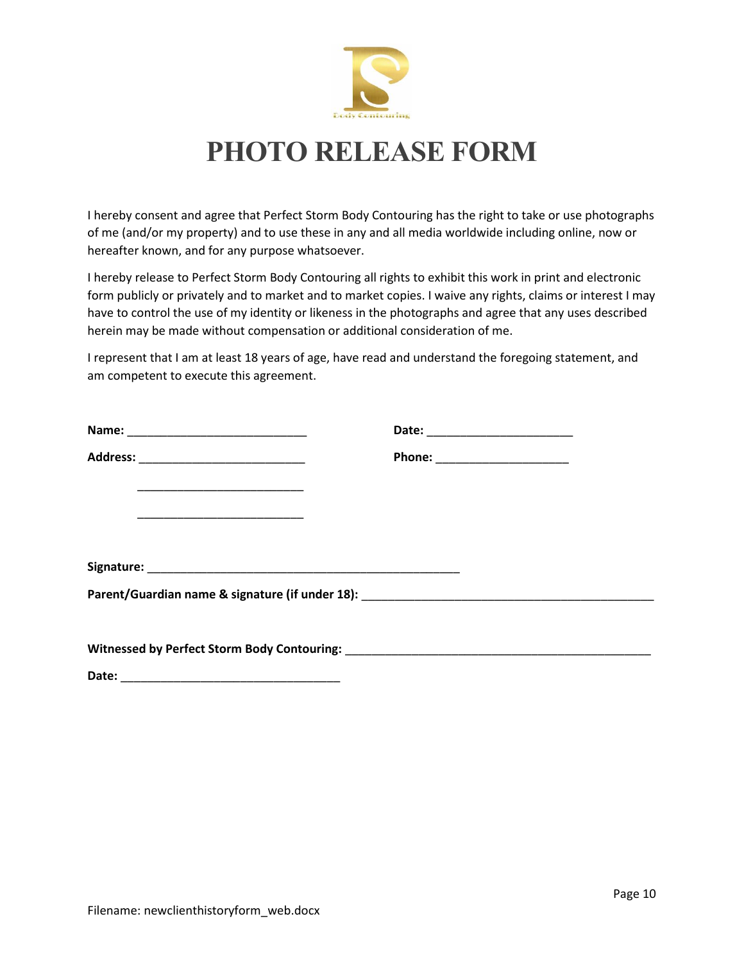

## **PHOTO RELEASE FORM**

I hereby consent and agree that Perfect Storm Body Contouring has the right to take or use photographs of me (and/or my property) and to use these in any and all media worldwide including online, now or hereafter known, and for any purpose whatsoever.

I hereby release to Perfect Storm Body Contouring all rights to exhibit this work in print and electronic form publicly or privately and to market and to market copies. I waive any rights, claims or interest I may have to control the use of my identity or likeness in the photographs and agree that any uses described herein may be made without compensation or additional consideration of me.

I represent that I am at least 18 years of age, have read and understand the foregoing statement, and am competent to execute this agreement.

|                                            | Phone: ________________________ |
|--------------------------------------------|---------------------------------|
|                                            |                                 |
| <u> 2000 - Januar Alexander (h. 1888).</u> |                                 |
|                                            |                                 |
|                                            |                                 |
|                                            |                                 |
|                                            |                                 |
|                                            |                                 |

Date:  $\Box$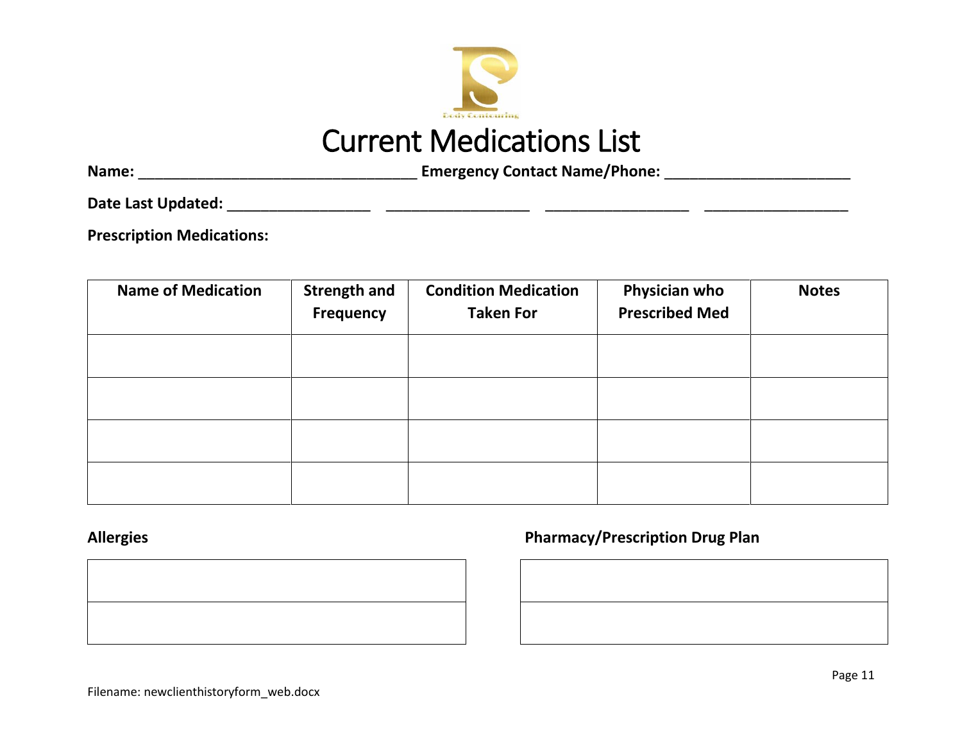

# Current Medications List

**Name:** \_\_\_\_\_\_\_\_\_\_\_\_\_\_\_\_\_\_\_\_\_\_\_\_\_\_\_\_\_\_\_\_\_ **Emergency Contact Name/Phone:** \_\_\_\_\_\_\_\_\_\_\_\_\_\_\_\_\_\_\_\_\_\_

**Date Last Updated:** \_\_\_\_\_\_\_\_\_\_\_\_\_\_\_\_\_ \_\_\_\_\_\_\_\_\_\_\_\_\_\_\_\_\_ \_\_\_\_\_\_\_\_\_\_\_\_\_\_\_\_\_ \_\_\_\_\_\_\_\_\_\_\_\_\_\_\_\_\_

**Prescription Medications:**

| <b>Name of Medication</b> | <b>Strength and</b><br><b>Frequency</b> | <b>Condition Medication</b><br><b>Taken For</b> | Physician who<br><b>Prescribed Med</b> | <b>Notes</b> |
|---------------------------|-----------------------------------------|-------------------------------------------------|----------------------------------------|--------------|
|                           |                                         |                                                 |                                        |              |
|                           |                                         |                                                 |                                        |              |
|                           |                                         |                                                 |                                        |              |
|                           |                                         |                                                 |                                        |              |



## **Allergies Pharmacy/Prescription Drug Plan**